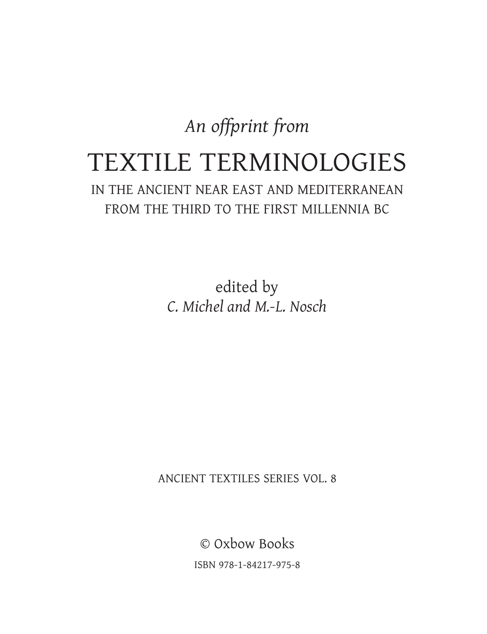## *An offprint from*

# TEXTILE TERMINOLOGIES

in the ancient Near East and Mediterranean from the Third to the First Millennia BC

> edited by *C. Michel and M.-L. Nosch*

ANCIENT TEXTILES SERIES VOL. 8

© Oxbow Books

ISBN 978-1-84217-975-8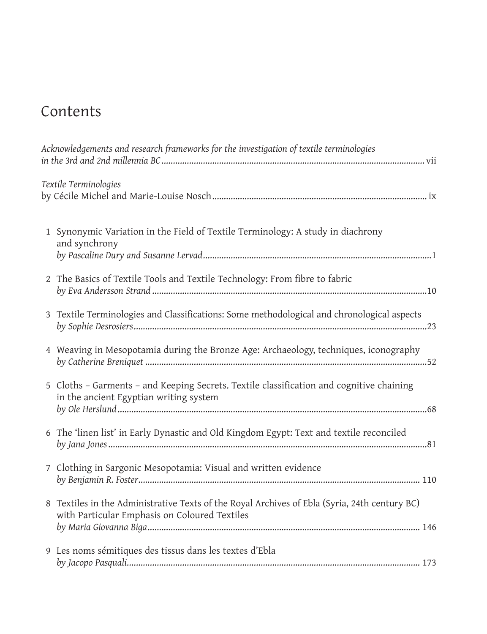### Contents

| Acknowledgements and research frameworks for the investigation of textile terminologies |                                                                                                                                                |  |
|-----------------------------------------------------------------------------------------|------------------------------------------------------------------------------------------------------------------------------------------------|--|
| Textile Terminologies                                                                   |                                                                                                                                                |  |
|                                                                                         | 1 Synonymic Variation in the Field of Textile Terminology: A study in diachrony<br>and synchrony                                               |  |
|                                                                                         | 2 The Basics of Textile Tools and Textile Technology: From fibre to fabric                                                                     |  |
|                                                                                         | 3 Textile Terminologies and Classifications: Some methodological and chronological aspects                                                     |  |
|                                                                                         | 4 Weaving in Mesopotamia during the Bronze Age: Archaeology, techniques, iconography                                                           |  |
|                                                                                         | 5 Cloths - Garments - and Keeping Secrets. Textile classification and cognitive chaining<br>in the ancient Egyptian writing system             |  |
|                                                                                         | 6 The 'linen list' in Early Dynastic and Old Kingdom Egypt: Text and textile reconciled                                                        |  |
|                                                                                         | 7 Clothing in Sargonic Mesopotamia: Visual and written evidence                                                                                |  |
|                                                                                         | 8 Textiles in the Administrative Texts of the Royal Archives of Ebla (Syria, 24th century BC)<br>with Particular Emphasis on Coloured Textiles |  |
|                                                                                         | 9 Les noms sémitiques des tissus dans les textes d'Ebla                                                                                        |  |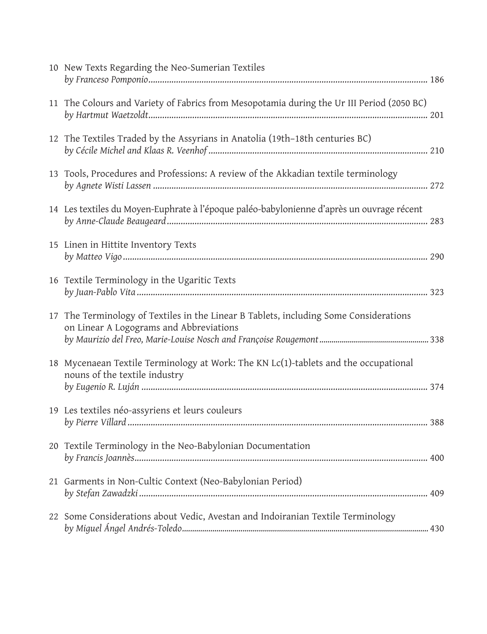| 10 New Texts Regarding the Neo-Sumerian Textiles                                                                                 |
|----------------------------------------------------------------------------------------------------------------------------------|
| 11 The Colours and Variety of Fabrics from Mesopotamia during the Ur III Period (2050 BC)                                        |
| 12 The Textiles Traded by the Assyrians in Anatolia (19th-18th centuries BC)                                                     |
| 13 Tools, Procedures and Professions: A review of the Akkadian textile terminology                                               |
| 14 Les textiles du Moyen-Euphrate à l'époque paléo-babylonienne d'après un ouvrage récent                                        |
| 15 Linen in Hittite Inventory Texts                                                                                              |
| 16 Textile Terminology in the Ugaritic Texts                                                                                     |
| 17 The Terminology of Textiles in the Linear B Tablets, including Some Considerations<br>on Linear A Logograms and Abbreviations |
| 18 Mycenaean Textile Terminology at Work: The KN Lc(1)-tablets and the occupational<br>nouns of the textile industry             |
| 19 Les textiles néo-assyriens et leurs couleurs                                                                                  |
| 20 Textile Terminology in the Neo-Babylonian Documentation                                                                       |
| 21 Garments in Non-Cultic Context (Neo-Babylonian Period)                                                                        |
| 22 Some Considerations about Vedic, Avestan and Indoiranian Textile Terminology                                                  |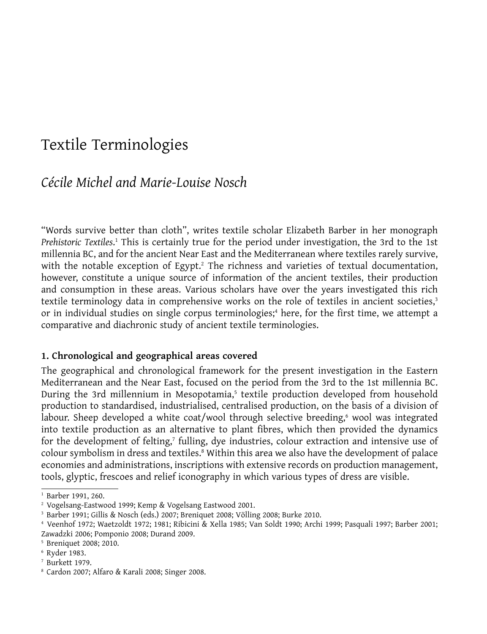### Textile Terminologies

### *Cécile Michel and Marie-Louise Nosch*

"Words survive better than cloth", writes textile scholar Elizabeth Barber in her monograph *Prehistoric Textiles*. 1 This is certainly true for the period under investigation, the 3rd to the 1st millennia BC, and for the ancient Near East and the Mediterranean where textiles rarely survive, with the notable exception of Egypt.<sup>2</sup> The richness and varieties of textual documentation, however, constitute a unique source of information of the ancient textiles, their production and consumption in these areas. Various scholars have over the years investigated this rich textile terminology data in comprehensive works on the role of textiles in ancient societies,<sup>3</sup> or in individual studies on single corpus terminologies;<sup>4</sup> here, for the first time, we attempt a comparative and diachronic study of ancient textile terminologies.

#### **1. Chronological and geographical areas covered**

The geographical and chronological framework for the present investigation in the Eastern Mediterranean and the Near East, focused on the period from the 3rd to the 1st millennia BC. During the 3rd millennium in Mesopotamia,<sup>5</sup> textile production developed from household production to standardised, industrialised, centralised production, on the basis of a division of labour. Sheep developed a white coat/wool through selective breeding,<sup>6</sup> wool was integrated into textile production as an alternative to plant fibres, which then provided the dynamics for the development of felting, $^\tau$  fulling, dye industries, colour extraction and intensive use of colour symbolism in dress and textiles.<sup>8</sup> Within this area we also have the development of palace economies and administrations, inscriptions with extensive records on production management, tools, glyptic, frescoes and relief iconography in which various types of dress are visible.

<sup>1</sup> Barber 1991, 260.

<sup>2</sup> Vogelsang-Eastwood 1999; Kemp & Vogelsang Eastwood 2001.

<sup>3</sup> Barber 1991; Gillis & Nosch (eds.) 2007; Breniquet 2008; Völling 2008; Burke 2010.

<sup>4</sup> Veenhof 1972; Waetzoldt 1972; 1981; Ribicini & Xella 1985; Van Soldt 1990; Archi 1999; Pasquali 1997; Barber 2001; Zawadzki 2006; Pomponio 2008; Durand 2009.

<sup>5</sup> Breniquet 2008; 2010.

<sup>6</sup> Ryder 1983.

<sup>7</sup> Burkett 1979.

<sup>8</sup> Cardon 2007; Alfaro & Karali 2008; Singer 2008.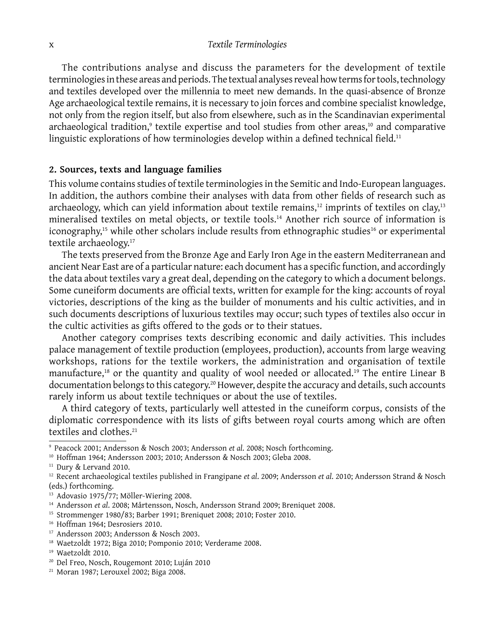#### x *Textile Terminologies*

The contributions analyse and discuss the parameters for the development of textile terminologies in these areas and periods. The textual analyses reveal how terms for tools, technology and textiles developed over the millennia to meet new demands. In the quasi-absence of Bronze Age archaeological textile remains, it is necessary to join forces and combine specialist knowledge, not only from the region itself, but also from elsewhere, such as in the Scandinavian experimental archaeological tradition, $^{\circ}$  textile expertise and tool studies from other areas, $^{\scriptscriptstyle{10}}$  and comparative linguistic explorations of how terminologies develop within a defined technical field.<sup>11</sup>

#### **2. Sources, texts and language families**

This volume contains studies of textile terminologies in the Semitic and Indo-European languages. In addition, the authors combine their analyses with data from other fields of research such as archaeology, which can yield information about textile remains,<sup>12</sup> imprints of textiles on clay,<sup>13</sup> mineralised textiles on metal objects, or textile tools.14 Another rich source of information is iconography,<sup>15</sup> while other scholars include results from ethnographic studies<sup>16</sup> or experimental textile archaeology.17

The texts preserved from the Bronze Age and Early Iron Age in the eastern Mediterranean and ancient Near East are of a particular nature: each document has a specific function, and accordingly the data about textiles vary a great deal, depending on the category to which a document belongs. Some cuneiform documents are official texts, written for example for the king: accounts of royal victories, descriptions of the king as the builder of monuments and his cultic activities, and in such documents descriptions of luxurious textiles may occur; such types of textiles also occur in the cultic activities as gifts offered to the gods or to their statues.

Another category comprises texts describing economic and daily activities. This includes palace management of textile production (employees, production), accounts from large weaving workshops, rations for the textile workers, the administration and organisation of textile manufacture,<sup>18</sup> or the quantity and quality of wool needed or allocated.<sup>19</sup> The entire Linear B documentation belongs to this category.20 However, despite the accuracy and details, such accounts rarely inform us about textile techniques or about the use of textiles.

A third category of texts, particularly well attested in the cuneiform corpus, consists of the diplomatic correspondence with its lists of gifts between royal courts among which are often textiles and clothes.<sup>21</sup>

<sup>9</sup> Peacock 2001; Andersson & Nosch 2003; Andersson *et al*. 2008; Nosch forthcoming.

<sup>&</sup>lt;sup>10</sup> Hoffman 1964; Andersson 2003; 2010; Andersson & Nosch 2003; Gleba 2008.

<sup>&</sup>lt;sup>11</sup> Dury & Lervand 2010.

<sup>12</sup> Recent archaeological textiles published in Frangipane *et al*. 2009; Andersson *et al*. 2010; Andersson Strand & Nosch (eds.) forthcoming.

<sup>&</sup>lt;sup>13</sup> Adovasio 1975/77; Möller-Wiering 2008.

<sup>&</sup>lt;sup>14</sup> Andersson et al. 2008; Mårtensson, Nosch, Andersson Strand 2009; Breniquet 2008.

<sup>15</sup> Strommenger 1980/83; Barber 1991; Breniquet 2008; 2010; Foster 2010.

<sup>&</sup>lt;sup>16</sup> Hoffman 1964; Desrosiers 2010.

<sup>17</sup> Andersson 2003; Andersson & Nosch 2003.

<sup>18</sup> Waetzoldt 1972; Biga 2010; Pomponio 2010; Verderame 2008.

<sup>&</sup>lt;sup>19</sup> Waetzoldt 2010.

<sup>20</sup> Del Freo, Nosch, Rougemont 2010; Luján 2010

<sup>21</sup> Moran 1987; Lerouxel 2002; Biga 2008.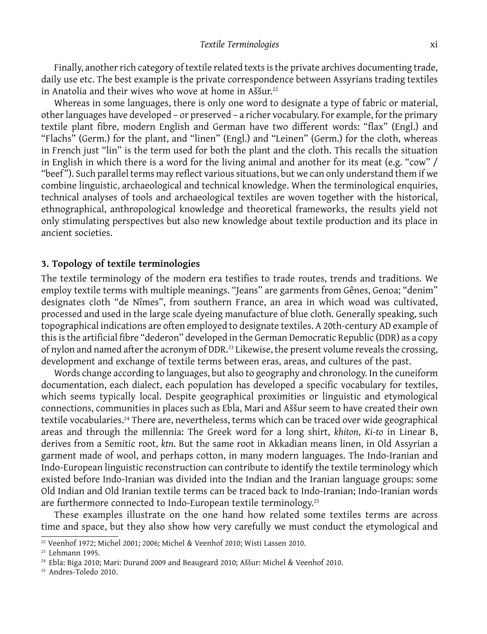Finally, another rich category of textile related texts is the private archives documenting trade, daily use etc. The best example is the private correspondence between Assyrians trading textiles in Anatolia and their wives who wove at home in Aššur.<sup>22</sup>

Whereas in some languages, there is only one word to designate a type of fabric or material, other languages have developed – or preserved – a richer vocabulary. For example, for the primary textile plant fibre, modern English and German have two different words: "flax" (Engl.) and "Flachs" (Germ.) for the plant, and "linen" (Engl.) and "Leinen" (Germ.) for the cloth, whereas in French just "lin" is the term used for both the plant and the cloth. This recalls the situation in English in which there is a word for the living animal and another for its meat (e.g. "cow" / "beef"). Such parallel terms may reflect various situations, but we can only understand them if we combine linguistic, archaeological and technical knowledge. When the terminological enquiries, technical analyses of tools and archaeological textiles are woven together with the historical, ethnographical, anthropological knowledge and theoretical frameworks, the results yield not only stimulating perspectives but also new knowledge about textile production and its place in ancient societies.

#### **3. Topology of textile terminologies**

The textile terminology of the modern era testifies to trade routes, trends and traditions. We employ textile terms with multiple meanings. "Jeans" are garments from Gênes, Genoa; "denim" designates cloth "de Nîmes", from southern France, an area in which woad was cultivated, processed and used in the large scale dyeing manufacture of blue cloth. Generally speaking, such topographical indications are often employed to designate textiles. A 20th-century AD example of this is the artificial fibre "dederon" developed in the German Democratic Republic (DDR) as a copy of nylon and named after the acronym of DDR.23 Likewise, the present volume reveals the crossing, development and exchange of textile terms between eras, areas, and cultures of the past.

Words change according to languages, but also to geography and chronology. In the cuneiform documentation, each dialect, each population has developed a specific vocabulary for textiles, which seems typically local. Despite geographical proximities or linguistic and etymological connections, communities in places such as Ebla, Mari and Aššur seem to have created their own textile vocabularies.24 There are, nevertheless, terms which can be traced over wide geographical areas and through the millennia: The Greek word for a long shirt, *khiton*, *Ki-to* in Linear B, derives from a Semitic root, *ktn*. But the same root in Akkadian means linen, in Old Assyrian a garment made of wool, and perhaps cotton, in many modern languages. The Indo-Iranian and Indo-European linguistic reconstruction can contribute to identify the textile terminology which existed before Indo-Iranian was divided into the Indian and the Iranian language groups: some Old Indian and Old Iranian textile terms can be traced back to Indo-Iranian; Indo-Iranian words are furthermore connected to Indo-European textile terminology.25

These examples illustrate on the one hand how related some textiles terms are across time and space, but they also show how very carefully we must conduct the etymological and

<sup>22</sup> Veenhof 1972; Michel 2001; 2006; Michel & Veenhof 2010; Wisti Lassen 2010.

<sup>23</sup> Lehmann 1995.

<sup>24</sup> Ebla: Biga 2010; Mari: Durand 2009 and Beaugeard 2010; Aššur: Michel & Veenhof 2010.

<sup>25</sup> Andres-Toledo 2010.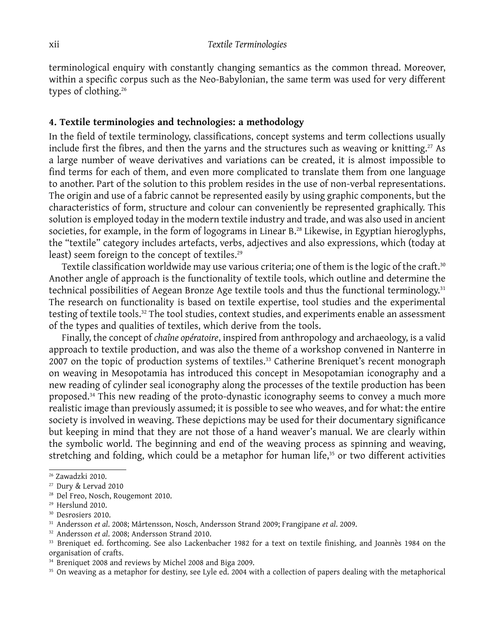terminological enquiry with constantly changing semantics as the common thread. Moreover, within a specific corpus such as the Neo-Babylonian, the same term was used for very different types of clothing.26

#### **4. Textile terminologies and technologies: a methodology**

In the field of textile terminology, classifications, concept systems and term collections usually include first the fibres, and then the yarns and the structures such as weaving or knitting.<sup>27</sup> As a large number of weave derivatives and variations can be created, it is almost impossible to find terms for each of them, and even more complicated to translate them from one language to another. Part of the solution to this problem resides in the use of non-verbal representations. The origin and use of a fabric cannot be represented easily by using graphic components, but the characteristics of form, structure and colour can conveniently be represented graphically. This solution is employed today in the modern textile industry and trade, and was also used in ancient societies, for example, in the form of logograms in Linear B.<sup>28</sup> Likewise, in Egyptian hieroglyphs, the "textile" category includes artefacts, verbs, adjectives and also expressions, which (today at least) seem foreign to the concept of textiles.<sup>29</sup>

Textile classification worldwide may use various criteria; one of them is the logic of the craft.<sup>30</sup> Another angle of approach is the functionality of textile tools, which outline and determine the technical possibilities of Aegean Bronze Age textile tools and thus the functional terminology.<sup>31</sup> The research on functionality is based on textile expertise, tool studies and the experimental testing of textile tools.32 The tool studies, context studies, and experiments enable an assessment of the types and qualities of textiles, which derive from the tools.

Finally, the concept of *chaîne opératoire*, inspired from anthropology and archaeology, is a valid approach to textile production, and was also the theme of a workshop convened in Nanterre in 2007 on the topic of production systems of textiles.<sup>33</sup> Catherine Breniquet's recent monograph on weaving in Mesopotamia has introduced this concept in Mesopotamian iconography and a new reading of cylinder seal iconography along the processes of the textile production has been proposed.<sup>34</sup> This new reading of the proto-dynastic iconography seems to convey a much more realistic image than previously assumed; it is possible to see who weaves, and for what: the entire society is involved in weaving. These depictions may be used for their documentary significance but keeping in mind that they are not those of a hand weaver's manual. We are clearly within the symbolic world. The beginning and end of the weaving process as spinning and weaving, stretching and folding, which could be a metaphor for human life,<sup>35</sup> or two different activities

<sup>26</sup> Zawadzki 2010.

<sup>27</sup> Dury & Lervad 2010

<sup>28</sup> Del Freo, Nosch, Rougemont 2010.

<sup>29</sup> Herslund 2010.

<sup>&</sup>lt;sup>30</sup> Desrosiers 2010.

<sup>31</sup> Andersson *et al*. 2008; Mårtensson, Nosch, Andersson Strand 2009; Frangipane *et al*. 2009.

<sup>32</sup> Andersson *et al*. 2008; Andersson Strand 2010.

<sup>&</sup>lt;sup>33</sup> Breniquet ed. forthcoming. See also Lackenbacher 1982 for a text on textile finishing, and Joannès 1984 on the organisation of crafts.

<sup>&</sup>lt;sup>34</sup> Breniquet 2008 and reviews by Michel 2008 and Biga 2009.

<sup>&</sup>lt;sup>35</sup> On weaving as a metaphor for destiny, see Lyle ed. 2004 with a collection of papers dealing with the metaphorical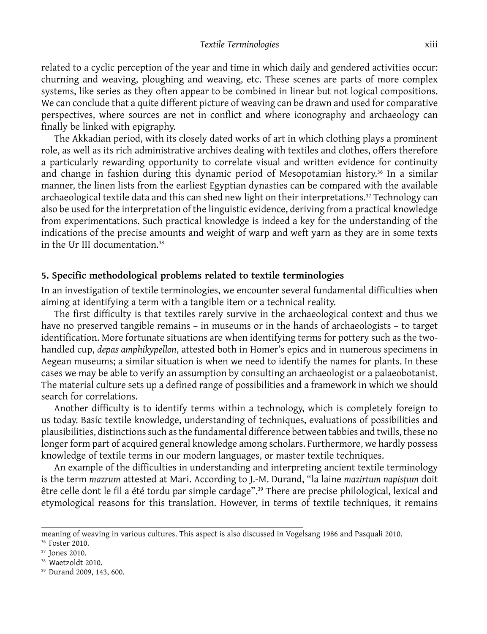related to a cyclic perception of the year and time in which daily and gendered activities occur: churning and weaving, ploughing and weaving, etc. These scenes are parts of more complex systems, like series as they often appear to be combined in linear but not logical compositions. We can conclude that a quite different picture of weaving can be drawn and used for comparative perspectives, where sources are not in conflict and where iconography and archaeology can finally be linked with epigraphy.

The Akkadian period, with its closely dated works of art in which clothing plays a prominent role, as well as its rich administrative archives dealing with textiles and clothes, offers therefore a particularly rewarding opportunity to correlate visual and written evidence for continuity and change in fashion during this dynamic period of Mesopotamian history.<sup>36</sup> In a similar manner, the linen lists from the earliest Egyptian dynasties can be compared with the available archaeological textile data and this can shed new light on their interpretations.<sup>37</sup> Technology can also be used for the interpretation of the linguistic evidence, deriving from a practical knowledge from experimentations. Such practical knowledge is indeed a key for the understanding of the indications of the precise amounts and weight of warp and weft yarn as they are in some texts in the Ur III documentation.38

#### **5. Specific methodological problems related to textile terminologies**

In an investigation of textile terminologies, we encounter several fundamental difficulties when aiming at identifying a term with a tangible item or a technical reality.

The first difficulty is that textiles rarely survive in the archaeological context and thus we have no preserved tangible remains – in museums or in the hands of archaeologists – to target identification. More fortunate situations are when identifying terms for pottery such as the twohandled cup, *depas amphikypellon*, attested both in Homer's epics and in numerous specimens in Aegean museums; a similar situation is when we need to identify the names for plants. In these cases we may be able to verify an assumption by consulting an archaeologist or a palaeobotanist. The material culture sets up a defined range of possibilities and a framework in which we should search for correlations.

Another difficulty is to identify terms within a technology, which is completely foreign to us today. Basic textile knowledge, understanding of techniques, evaluations of possibilities and plausibilities, distinctions such as the fundamental difference between tabbies and twills, these no longer form part of acquired general knowledge among scholars. Furthermore, we hardly possess knowledge of textile terms in our modern languages, or master textile techniques.

An example of the difficulties in understanding and interpreting ancient textile terminology is the term *mazrum* attested at Mari. According to J.-M. Durand, "la laine *mazirtum napisṭum* doit être celle dont le fil a été tordu par simple cardage".<sup>39</sup> There are precise philological, lexical and etymological reasons for this translation. However, in terms of textile techniques, it remains

meaning of weaving in various cultures. This aspect is also discussed in Vogelsang 1986 and Pasquali 2010.

<sup>36</sup> Foster 2010.

<sup>37</sup> Jones 2010.

<sup>&</sup>lt;sup>38</sup> Waetzoldt 2010.

<sup>39</sup> Durand 2009, 143, 600.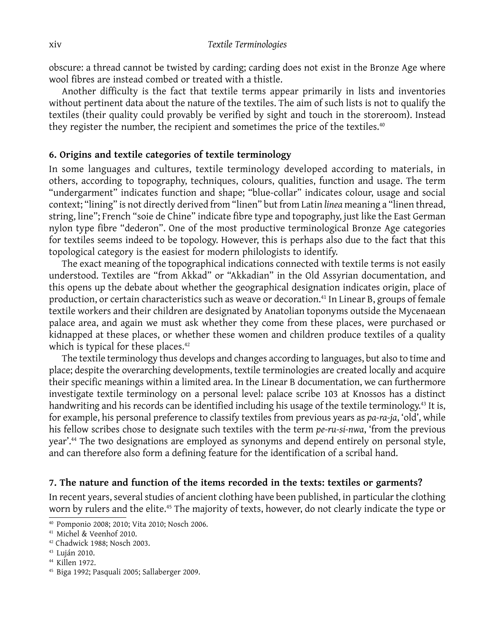obscure: a thread cannot be twisted by carding; carding does not exist in the Bronze Age where wool fibres are instead combed or treated with a thistle.

Another difficulty is the fact that textile terms appear primarily in lists and inventories without pertinent data about the nature of the textiles. The aim of such lists is not to qualify the textiles (their quality could provably be verified by sight and touch in the storeroom). Instead they register the number, the recipient and sometimes the price of the textiles.<sup>40</sup>

#### **6. Origins and textile categories of textile terminology**

In some languages and cultures, textile terminology developed according to materials, in others, according to topography, techniques, colours, qualities, function and usage. The term "undergarment" indicates function and shape; "blue-collar" indicates colour, usage and social context; "lining" is not directly derived from "linen" but from Latin *linea* meaning a "linen thread, string, line"; French "soie de Chine" indicate fibre type and topography, just like the East German nylon type fibre "dederon". One of the most productive terminological Bronze Age categories for textiles seems indeed to be topology. However, this is perhaps also due to the fact that this topological category is the easiest for modern philologists to identify.

The exact meaning of the topographical indications connected with textile terms is not easily understood. Textiles are "from Akkad" or "Akkadian" in the Old Assyrian documentation, and this opens up the debate about whether the geographical designation indicates origin, place of production, or certain characteristics such as weave or decoration.41 In Linear B, groups of female textile workers and their children are designated by Anatolian toponyms outside the Mycenaean palace area, and again we must ask whether they come from these places, were purchased or kidnapped at these places, or whether these women and children produce textiles of a quality which is typical for these places.<sup>42</sup>

The textile terminology thus develops and changes according to languages, but also to time and place; despite the overarching developments, textile terminologies are created locally and acquire their specific meanings within a limited area. In the Linear B documentation, we can furthermore investigate textile terminology on a personal level: palace scribe 103 at Knossos has a distinct handwriting and his records can be identified including his usage of the textile terminology.<sup>43</sup> It is, for example, his personal preference to classify textiles from previous years as *pa-ra-ja*, 'old', while his fellow scribes chose to designate such textiles with the term *pe-ru-si-nwa*, 'from the previous year'.44 The two designations are employed as synonyms and depend entirely on personal style, and can therefore also form a defining feature for the identification of a scribal hand.

#### **7. The nature and function of the items recorded in the texts: textiles or garments?**

In recent years, several studies of ancient clothing have been published, in particular the clothing worn by rulers and the elite.<sup>45</sup> The majority of texts, however, do not clearly indicate the type or

<sup>40</sup> Pomponio 2008; 2010; Vita 2010; Nosch 2006.

<sup>41</sup> Michel & Veenhof 2010.

<sup>42</sup> Chadwick 1988; Nosch 2003.

<sup>43</sup> Luján 2010.

<sup>44</sup> Killen 1972.

<sup>45</sup> Biga 1992; Pasquali 2005; Sallaberger 2009.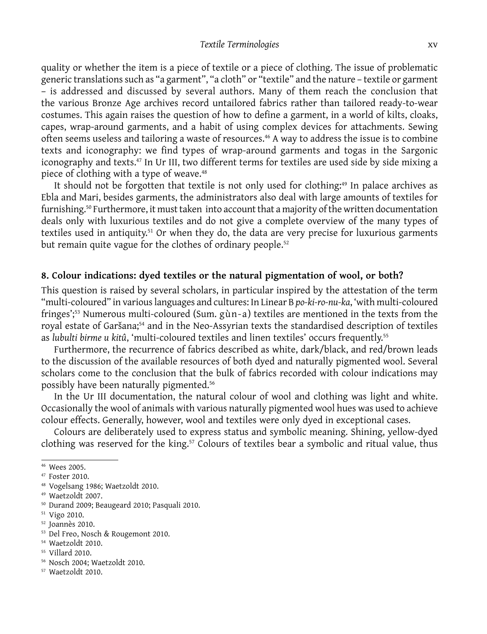quality or whether the item is a piece of textile or a piece of clothing. The issue of problematic generic translations such as "a garment", "a cloth" or "textile" and the nature – textile or garment – is addressed and discussed by several authors. Many of them reach the conclusion that the various Bronze Age archives record untailored fabrics rather than tailored ready-to-wear costumes. This again raises the question of how to define a garment, in a world of kilts, cloaks, capes, wrap-around garments, and a habit of using complex devices for attachments. Sewing often seems useless and tailoring a waste of resources.46 A way to address the issue is to combine texts and iconography: we find types of wrap-around garments and togas in the Sargonic iconography and texts.<sup>47</sup> In Ur III, two different terms for textiles are used side by side mixing a piece of clothing with a type of weave.<sup>48</sup>

It should not be forgotten that textile is not only used for clothing:49 In palace archives as Ebla and Mari, besides garments, the administrators also deal with large amounts of textiles for furnishing.50 Furthermore, it must taken into account that a majority of the written documentation deals only with luxurious textiles and do not give a complete overview of the many types of textiles used in antiquity.<sup>51</sup> Or when they do, the data are very precise for luxurious garments but remain quite vague for the clothes of ordinary people.<sup>52</sup>

#### **8. Colour indications: dyed textiles or the natural pigmentation of wool, or both?**

This question is raised by several scholars, in particular inspired by the attestation of the term "multi-coloured" in various languages and cultures: In Linear B *po-ki-ro-nu-ka*, 'with multi-coloured fringes';53 Numerous multi-coloured (Sum. gùn-a) textiles are mentioned in the texts from the royal estate of Garšana;<sup>54</sup> and in the Neo-Assyrian texts the standardised description of textiles as *lubulti birme u kitû*, 'multi-coloured textiles and linen textiles' occurs frequently.55

Furthermore, the recurrence of fabrics described as white, dark/black, and red/brown leads to the discussion of the available resources of both dyed and naturally pigmented wool. Several scholars come to the conclusion that the bulk of fabrics recorded with colour indications may possibly have been naturally pigmented.56

In the Ur III documentation, the natural colour of wool and clothing was light and white. Occasionally the wool of animals with various naturally pigmented wool hues was used to achieve colour effects. Generally, however, wool and textiles were only dyed in exceptional cases.

Colours are deliberately used to express status and symbolic meaning. Shining, yellow-dyed clothing was reserved for the king. $57$  Colours of textiles bear a symbolic and ritual value, thus

48 Vogelsang 1986; Waetzoldt 2010.

50 Durand 2009; Beaugeard 2010; Pasquali 2010.

<sup>46</sup> Wees 2005.

<sup>47</sup> Foster 2010.

<sup>49</sup> Waetzoldt 2007.

<sup>51</sup> Vigo 2010.

<sup>52</sup> Joannès 2010.

<sup>53</sup> Del Freo, Nosch & Rougemont 2010.

<sup>54</sup> Waetzoldt 2010.

<sup>55</sup> Villard 2010.

<sup>56</sup> Nosch 2004; Waetzoldt 2010.

<sup>57</sup> Waetzoldt 2010.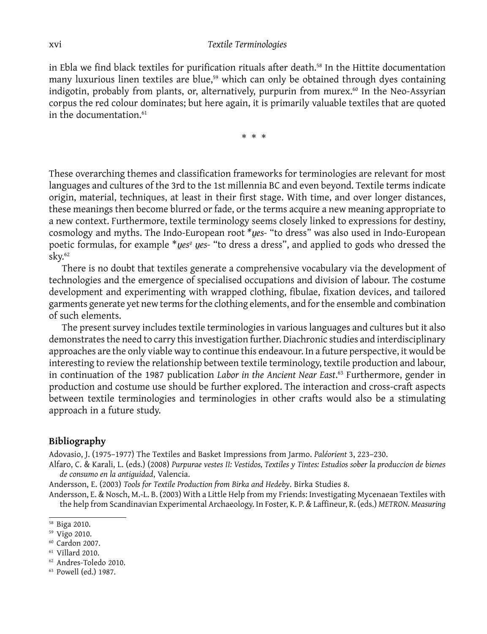#### xvi *Textile Terminologies*

in Ebla we find black textiles for purification rituals after death.<sup>58</sup> In the Hittite documentation many luxurious linen textiles are blue,<sup>59</sup> which can only be obtained through dyes containing indigotin, probably from plants, or, alternatively, purpurin from murex. $\epsilon$ <sup>60</sup> In the Neo-Assyrian corpus the red colour dominates; but here again, it is primarily valuable textiles that are quoted in the documentation.<sup>61</sup>

\* \* \*

These overarching themes and classification frameworks for terminologies are relevant for most languages and cultures of the 3rd to the 1st millennia BC and even beyond. Textile terms indicate origin, material, techniques, at least in their first stage. With time, and over longer distances, these meanings then become blurred or fade, or the terms acquire a new meaning appropriate to a new context. Furthermore, textile terminology seems closely linked to expressions for destiny, cosmology and myths. The Indo-European root *\*es-* "to dress" was also used in Indo-European poetic formulas, for example \**esº es-* "to dress a dress", and applied to gods who dressed the sky.62

There is no doubt that textiles generate a comprehensive vocabulary via the development of technologies and the emergence of specialised occupations and division of labour. The costume development and experimenting with wrapped clothing, fibulae, fixation devices, and tailored garments generate yet new terms for the clothing elements, and for the ensemble and combination of such elements.

The present survey includes textile terminologies in various languages and cultures but it also demonstrates the need to carry this investigation further. Diachronic studies and interdisciplinary approaches are the only viable way to continue this endeavour. In a future perspective, it would be interesting to review the relationship between textile terminology, textile production and labour, in continuation of the 1987 publication *Labor in the Ancient Near East*. 63 Furthermore, gender in production and costume use should be further explored. The interaction and cross-craft aspects between textile terminologies and terminologies in other crafts would also be a stimulating approach in a future study.

#### **Bibliography**

Adovasio, J. (1975–1977) The Textiles and Basket Impressions from Jarmo. *Paléorient* 3, 223–230.

Alfaro, C. & Karali, L. (eds.) (2008) *Purpurae vestes II: Vestidos, Textiles y Tintes: Estudios sober la produccion de bienes de consumo en la antiguidad*, Valencia.

Andersson, E. (2003) *Tools for Textile Production from Birka and Hedeby*. Birka Studies 8.

Andersson, E. & Nosch, M.-L. B. (2003) With a Little Help from my Friends: Investigating Mycenaean Textiles with the help from Scandinavian Experimental Archaeology. In Foster, K. P. & Laffi neur, R. (eds.) *METRON. Measuring* 

- 60 Cardon 2007.
- 61 Villard 2010.
- 62 Andres-Toledo 2010.
- 63 Powell (ed.) 1987.

<sup>58</sup> Biga 2010.

<sup>59</sup> Vigo 2010.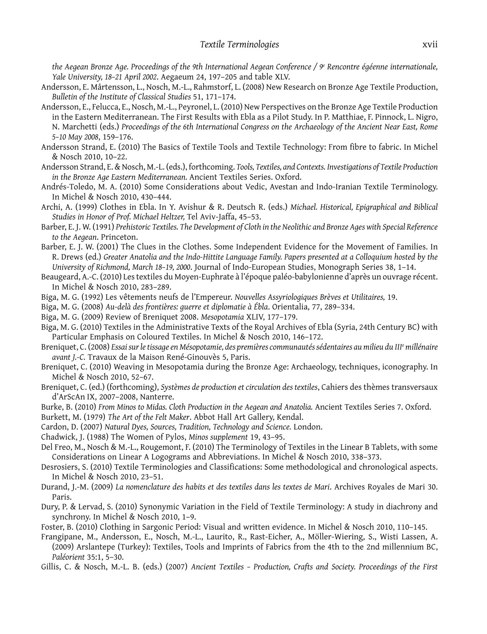*the Aegean Bronze Age. Proceedings of the 9th International Aegean Conference / 9e Rencontre égéenne internationale, Yale University, 18–21 April 2002*. Aegaeum 24, 197–205 and table XLV.

- Andersson, E. Mårtensson, L., Nosch, M.-L., Rahmstorf, L. (2008) New Research on Bronze Age Textile Production, *Bulletin of the Institute of Classical Studies* 51, 171–174.
- Andersson, E., Felucca, E., Nosch, M.-L., Peyronel, L. (2010) New Perspectives on the Bronze Age Textile Production in the Eastern Mediterranean. The First Results with Ebla as a Pilot Study. In P. Matthiae, F. Pinnock, L. Nigro, N. Marchetti (eds.) *Proceedings of the 6th International Congress on the Archaeology of the Ancient Near East, Rome 5–10 May 2008*, 159–176.
- Andersson Strand, E. (2010) The Basics of Textile Tools and Textile Technology: From fibre to fabric. In Michel & Nosch 2010, 10–22.
- Andersson Strand, E. & Nosch, M.-L. (eds.), forthcoming. *Tools, Textiles, and Contexts. Investigations of Textile Production in the Bronze Age Eastern Mediterranean.* Ancient Textiles Series. Oxford.
- Andrés-Toledo, M. A. (2010) Some Considerations about Vedic, Avestan and Indo-Iranian Textile Terminology. In Michel & Nosch 2010, 430–444.
- Archi, A. (1999) Clothes in Ebla. In Y. Avishur & R. Deutsch R. (eds.) *Michael. Historical, Epigraphical and Biblical Studies in Honor of Prof. Michael Heltzer*, Tel Aviv-Jaffa, 45-53.
- Barber, E. J. W. (1991) *Prehistoric Textiles. The Development of Cloth in the Neolithic and Bronze Ages with Special Reference to the Aegean*. Princeton.
- Barber, E. J. W. (2001) The Clues in the Clothes. Some Independent Evidence for the Movement of Families. In R. Drews (ed.) *Greater Anatolia and the Indo-Hittite Language Family. Papers presented at a Colloquium hosted by the University of Richmond, March 18–19, 2000*. Journal of Indo-European Studies, Monograph Series 38, 1–14.
- Beaugeard, A.-C. (2010) Les textiles du Moyen-Euphrate à l'époque paléo-babylonienne d'après un ouvrage récent. In Michel & Nosch 2010, 283–289.
- Biga, M. G. (1992) Les vêtements neufs de l'Empereur. *Nouvelles Assyriologiques Brèves et Utilitaires,* 19.
- Biga, M. G. (2008) *Au-delà des frontières: guerre et diplomatie à Ébla*. Orientalia, 77, 289–334.
- Biga, M. G. (2009) Review of Breniquet 2008. *Mesopotamia* XLIV, 177–179.
- Biga, M. G. (2010) Textiles in the Administrative Texts of the Royal Archives of Ebla (Syria, 24th Century BC) with Particular Emphasis on Coloured Textiles. In Michel & Nosch 2010, 146–172.
- Breniquet, C. (2008) *Essai sur le tissage en Mésopotamie, des premières communautés sédentaires au milieu du IIIe millénaire avant J.-C.* Travaux de la Maison René-Ginouvès 5, Paris.
- Breniquet, C. (2010) Weaving in Mesopotamia during the Bronze Age: Archaeology, techniques, iconography. In Michel & Nosch 2010, 52–67.
- Breniquet, C. (ed.) (forthcoming), *Systèmes de production et circulation des textiles*, Cahiers des thèmes transversaux d'ArScAn IX, 2007–2008, Nanterre.
- Burke, B. (2010) *From Minos to Midas. Cloth Production in the Aegean and Anatolia.* Ancient Textiles Series 7. Oxford.
- Burkett, M. (1979) *The Art of the Felt Maker*. Abbot Hall Art Gallery, Kendal.
- Cardon, D. (2007) *Natural Dyes, Sources, Tradition, Technology and Science.* London.
- Chadwick, J. (1988) The Women of Pylos, *Minos supplement* 19, 43–95.
- Del Freo, M., Nosch & M.-L., Rougemont, F. (2010) The Terminology of Textiles in the Linear B Tablets, with some Considerations on Linear A Logograms and Abbreviations. In Michel & Nosch 2010, 338–373.
- Desrosiers, S. (2010) Textile Terminologies and Classifications: Some methodological and chronological aspects. In Michel & Nosch 2010, 23–51.
- Durand, J.-M. (2009) *La nomenclature des habits et des textiles dans les textes de Mari*. Archives Royales de Mari 30. Paris.
- Dury, P. & Lervad, S. (2010) Synonymic Variation in the Field of Textile Terminology: A study in diachrony and synchrony. In Michel & Nosch 2010, 1–9.
- Foster, B. (2010) Clothing in Sargonic Period: Visual and written evidence. In Michel & Nosch 2010, 110–145.
- Frangipane, M., Andersson, E., Nosch, M.-L., Laurito, R., Rast-Eicher, A., Möller-Wiering, S., Wisti Lassen, A. (2009) Arslantepe (Turkey): Textiles, Tools and Imprints of Fabrics from the 4th to the 2nd millennium BC, *Paléorient* 35:1, 5–30.
- Gillis, C. & Nosch, M.-L. B. (eds.) (2007) *Ancient Textiles Production, Crafts and Society. Proceedings of the First*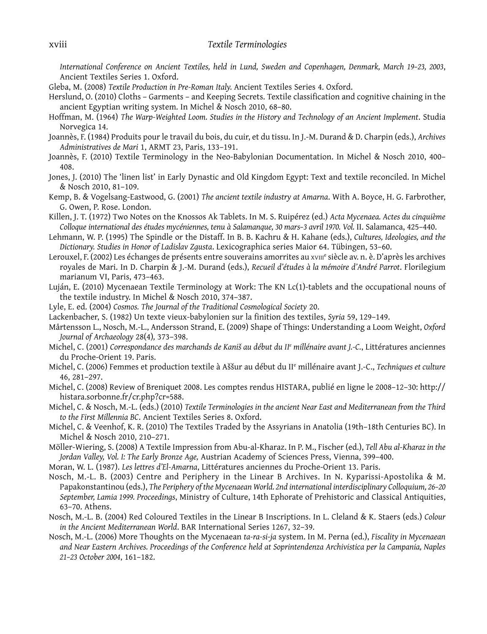*International Conference on Ancient Textiles, held in Lund, Sweden and Copenhagen, Denmark, March 19–23, 2003*, Ancient Textiles Series 1. Oxford.

- Gleba, M. (2008) *Textile Production in Pre-Roman Italy.* Ancient Textiles Series 4. Oxford.
- Herslund, O. (2010) Cloths Garments and Keeping Secrets. Textile classification and cognitive chaining in the ancient Egyptian writing system. In Michel & Nosch 2010, 68–80.
- Hoffman, M. (1964) The Warp-Weighted Loom. Studies in the History and Technology of an Ancient Implement. Studia Norvegica 14.
- Joannès, F. (1984) Produits pour le travail du bois, du cuir, et du tissu. In J.-M. Durand & D. Charpin (eds.), *Archives Administratives de Mari* 1, ARMT 23, Paris, 133–191.
- Joannès, F. (2010) Textile Terminology in the Neo-Babylonian Documentation. In Michel & Nosch 2010, 400– 408.
- Jones, J. (2010) The 'linen list' in Early Dynastic and Old Kingdom Egypt: Text and textile reconciled. In Michel & Nosch 2010, 81–109.
- Kemp, B. & Vogelsang-Eastwood, G. (2001) *The ancient textile industry at Amarna*. With A. Boyce, H. G. Farbrother, G. Owen, P. Rose. London.
- Killen, J. T. (1972) Two Notes on the Knossos Ak Tablets. In M. S. Ruipérez (ed.) *Acta Mycenaea. Actes du cinquième Colloque international des études mycéniennes, tenu à Salamanque, 30 mars–3 avril 1970. Vol.* II. Salamanca, 425–440.
- Lehmann, W. P. (1995) The Spindle or the Distaff . In B. B. Kachru & H. Kahane (eds.), *Cultures, Ideologies, and the Dictionary. Studies in Honor of Ladislav Zgusta*. Lexicographica series Maior 64. Tübingen, 53–60.
- Lerouxel, F. (2002) Les échanges de présents entre souverains amorrites au xv111<sup>e</sup> siècle av. n. è. D'après les archives royales de Mari. In D. Charpin & J.-M. Durand (eds.), *Recueil d'études à la mémoire d'André Parrot*. Florilegium marianum VI, Paris, 473–463.
- Luján, E. (2010) Mycenaean Textile Terminology at Work: The KN Lc(1)-tablets and the occupational nouns of the textile industry. In Michel & Nosch 2010, 374–387.
- Lyle, E. ed. (2004) *Cosmos. The Journal of the Traditional Cosmological Society* 20.
- Lackenbacher, S. (1982) Un texte vieux-babylonien sur la finition des textiles, *Syria* 59, 129-149.
- Mårtensson L., Nosch, M.-L., Andersson Strand, E. (2009) Shape of Things: Understanding a Loom Weight, *Oxford Journal of Archaeology* 28(4)*,* 373–398.
- Michel, C. (2001) *Correspondance des marchands de Kaniš au début du IIe millénaire avant J.-C.*, Littératures anciennes du Proche-Orient 19. Paris.
- Michel, C. (2006) Femmes et production textile à Aššur au début du IIe millénaire avant J.-C., *Techniques et culture*  46, 281–297.
- Michel, C. (2008) Review of Breniquet 2008. Les comptes rendus HISTARA, publié en ligne le 2008–12–30: http:// histara.sorbonne.fr/cr.php?cr=588.
- Michel, C. & Nosch, M.-L. (eds.) (2010) *Textile Terminologies in the ancient Near East and Mediterranean from the Third to the First Millennia BC*. Ancient Textiles Series 8. Oxford.
- Michel, C. & Veenhof, K. R. (2010) The Textiles Traded by the Assyrians in Anatolia (19th–18th Centuries BC). In Michel & Nosch 2010, 210–271.
- Möller-Wiering, S. (2008) A Textile Impression from Abu-al-Kharaz. In P. M., Fischer (ed.), *Tell Abu al-Kharaz in the Jordan Valley, Vol. I: The Early Bronze Age,* Austrian Academy of Sciences Press, Vienna, 399–400.
- Moran, W. L. (1987). *Les lettres d'El-Amarna*, Littératures anciennes du Proche-Orient 13. Paris.
- Nosch, M.-L. B. (2003) Centre and Periphery in the Linear B Archives. In N. Kyparissi-Apostolika & M. Papakonstantinou (eds.), *The Periphery of the Mycenaean World. 2nd international interdisciplinary Colloquium, 26–20 September, Lamia 1999. Proceedings*, Ministry of Culture, 14th Ephorate of Prehistoric and Classical Antiquities, 63–70. Athens.
- Nosch, M.-L. B. (2004) Red Coloured Textiles in the Linear B Inscriptions. In L. Cleland & K. Staers (eds.) *Colour in the Ancient Mediterranean World*. BAR International Series 1267, 32–39.
- Nosch, M.-L. (2006) More Thoughts on the Mycenaean *ta-ra-si-ja* system. In M. Perna (ed.), *Fiscality in Mycenaean and Near Eastern Archives. Proceedings of the Conference held at Soprintendenza Archivistica per la Campania, Naples 21–23 October 2004*, 161–182.